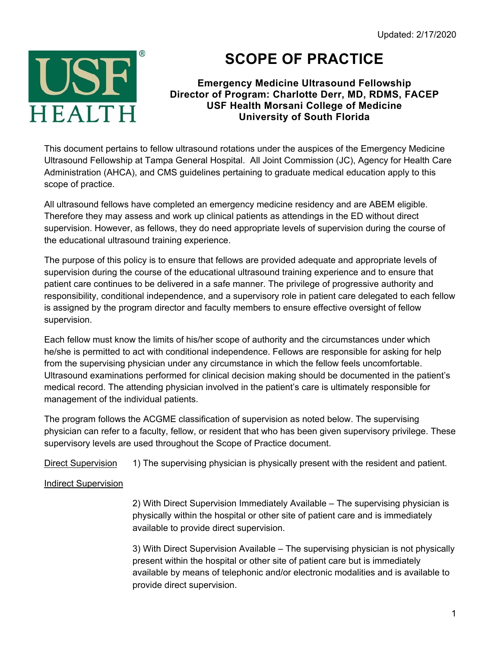

# **SCOPE OF PRACTICE**

### **Emergency Medicine Ultrasound Fellowship Director of Program: Charlotte Derr, MD, RDMS, FACEP USF Health Morsani College of Medicine University of South Florida**

This document pertains to fellow ultrasound rotations under the auspices of the Emergency Medicine Ultrasound Fellowship at Tampa General Hospital. All Joint Commission (JC), Agency for Health Care Administration (AHCA), and CMS guidelines pertaining to graduate medical education apply to this scope of practice.

All ultrasound fellows have completed an emergency medicine residency and are ABEM eligible. Therefore they may assess and work up clinical patients as attendings in the ED without direct supervision. However, as fellows, they do need appropriate levels of supervision during the course of the educational ultrasound training experience.

The purpose of this policy is to ensure that fellows are provided adequate and appropriate levels of supervision during the course of the educational ultrasound training experience and to ensure that patient care continues to be delivered in a safe manner. The privilege of progressive authority and responsibility, conditional independence, and a supervisory role in patient care delegated to each fellow is assigned by the program director and faculty members to ensure effective oversight of fellow supervision.

Each fellow must know the limits of his/her scope of authority and the circumstances under which he/she is permitted to act with conditional independence. Fellows are responsible for asking for help from the supervising physician under any circumstance in which the fellow feels uncomfortable. Ultrasound examinations performed for clinical decision making should be documented in the patient's medical record. The attending physician involved in the patient's care is ultimately responsible for management of the individual patients.

The program follows the ACGME classification of supervision as noted below. The supervising physician can refer to a faculty, fellow, or resident that who has been given supervisory privilege. These supervisory levels are used throughout the Scope of Practice document.

Direct Supervision 1) The supervising physician is physically present with the resident and patient.

#### Indirect Supervision

2) With Direct Supervision Immediately Available – The supervising physician is physically within the hospital or other site of patient care and is immediately available to provide direct supervision.

3) With Direct Supervision Available – The supervising physician is not physically present within the hospital or other site of patient care but is immediately available by means of telephonic and/or electronic modalities and is available to provide direct supervision.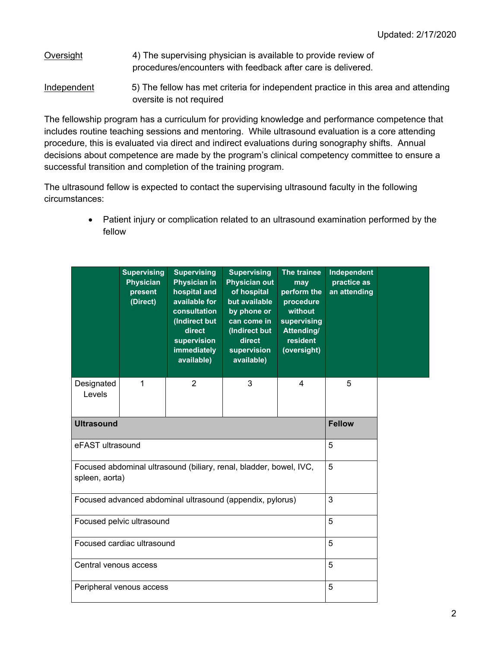#### Oversight 4) The supervising physician is available to provide review of procedures/encounters with feedback after care is delivered.

Independent 5) The fellow has met criteria for independent practice in this area and attending oversite is not required

The fellowship program has a curriculum for providing knowledge and performance competence that includes routine teaching sessions and mentoring. While ultrasound evaluation is a core attending procedure, this is evaluated via direct and indirect evaluations during sonography shifts. Annual decisions about competence are made by the program's clinical competency committee to ensure a successful transition and completion of the training program.

The ultrasound fellow is expected to contact the supervising ultrasound faculty in the following circumstances:

> Patient injury or complication related to an ultrasound examination performed by the fellow

|                       | <b>Supervising</b><br><b>Physician</b><br>present<br>(Direct)      | <b>Supervising</b><br><b>Physician in</b><br>hospital and<br>available for<br>consultation<br>(Indirect but<br>direct<br>supervision<br>immediately<br>available) | <b>Supervising</b><br><b>Physician out</b><br>of hospital<br>but available<br>by phone or<br>can come in<br>(Indirect but<br>direct<br>supervision<br>available) | The trainee<br>may<br>perform the<br>procedure<br>without<br>supervising<br><b>Attending/</b><br>resident<br>(oversight) | Independent<br>practice as<br>an attending |  |
|-----------------------|--------------------------------------------------------------------|-------------------------------------------------------------------------------------------------------------------------------------------------------------------|------------------------------------------------------------------------------------------------------------------------------------------------------------------|--------------------------------------------------------------------------------------------------------------------------|--------------------------------------------|--|
| Designated<br>Levels  | 1                                                                  | $\overline{2}$                                                                                                                                                    | 3                                                                                                                                                                | 4                                                                                                                        | 5                                          |  |
| <b>Ultrasound</b>     |                                                                    | <b>Fellow</b>                                                                                                                                                     |                                                                                                                                                                  |                                                                                                                          |                                            |  |
| eFAST ultrasound      |                                                                    | 5                                                                                                                                                                 |                                                                                                                                                                  |                                                                                                                          |                                            |  |
| spleen, aorta)        | Focused abdominal ultrasound (biliary, renal, bladder, bowel, IVC, | 5                                                                                                                                                                 |                                                                                                                                                                  |                                                                                                                          |                                            |  |
|                       | Focused advanced abdominal ultrasound (appendix, pylorus)          | 3                                                                                                                                                                 |                                                                                                                                                                  |                                                                                                                          |                                            |  |
|                       | Focused pelvic ultrasound                                          | 5                                                                                                                                                                 |                                                                                                                                                                  |                                                                                                                          |                                            |  |
|                       | Focused cardiac ultrasound                                         | 5                                                                                                                                                                 |                                                                                                                                                                  |                                                                                                                          |                                            |  |
| Central venous access |                                                                    | 5                                                                                                                                                                 |                                                                                                                                                                  |                                                                                                                          |                                            |  |
|                       | Peripheral venous access                                           | 5                                                                                                                                                                 |                                                                                                                                                                  |                                                                                                                          |                                            |  |